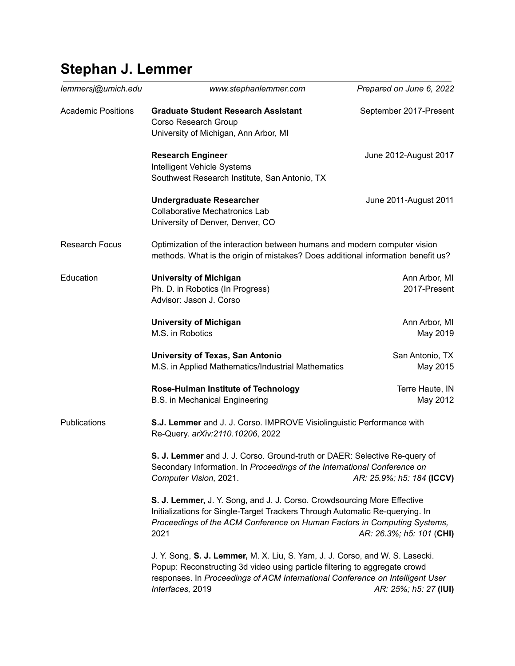## **Stephan J. Lemmer**

| lemmersj@umich.edu        | www.stephanlemmer.com                                                                                                                                                                                                                                                                    | Prepared on June 6, 2022      |
|---------------------------|------------------------------------------------------------------------------------------------------------------------------------------------------------------------------------------------------------------------------------------------------------------------------------------|-------------------------------|
| <b>Academic Positions</b> | <b>Graduate Student Research Assistant</b><br>Corso Research Group<br>University of Michigan, Ann Arbor, MI                                                                                                                                                                              | September 2017-Present        |
|                           | <b>Research Engineer</b><br>Intelligent Vehicle Systems<br>Southwest Research Institute, San Antonio, TX                                                                                                                                                                                 | June 2012-August 2017         |
|                           | <b>Undergraduate Researcher</b><br><b>Collaborative Mechatronics Lab</b><br>University of Denver, Denver, CO                                                                                                                                                                             | June 2011-August 2011         |
| <b>Research Focus</b>     | Optimization of the interaction between humans and modern computer vision<br>methods. What is the origin of mistakes? Does additional information benefit us?                                                                                                                            |                               |
| Education                 | <b>University of Michigan</b><br>Ph. D. in Robotics (In Progress)<br>Advisor: Jason J. Corso                                                                                                                                                                                             | Ann Arbor, MI<br>2017-Present |
|                           | <b>University of Michigan</b><br>M.S. in Robotics                                                                                                                                                                                                                                        | Ann Arbor, MI<br>May 2019     |
|                           | University of Texas, San Antonio<br>M.S. in Applied Mathematics/Industrial Mathematics                                                                                                                                                                                                   | San Antonio, TX<br>May 2015   |
|                           | Rose-Hulman Institute of Technology<br>B.S. in Mechanical Engineering                                                                                                                                                                                                                    | Terre Haute, IN<br>May 2012   |
| <b>Publications</b>       | S.J. Lemmer and J. J. Corso. IMPROVE Visiolinguistic Performance with<br>Re-Query. arXiv:2110.10206, 2022                                                                                                                                                                                |                               |
|                           | <b>S. J. Lemmer</b> and J. J. Corso. Ground-truth or DAER: Selective Re-query of<br>Secondary Information. In Proceedings of the International Conference on<br>AR: 25.9%; h5: 184 (ICCV)<br>Computer Vision, 2021.                                                                      |                               |
|                           | S. J. Lemmer, J. Y. Song, and J. J. Corso. Crowdsourcing More Effective<br>Initializations for Single-Target Trackers Through Automatic Re-querying. In<br>Proceedings of the ACM Conference on Human Factors in Computing Systems,<br>2021<br>AR: 26.3%; h5: 101 (CHI)                  |                               |
|                           | J. Y. Song, S. J. Lemmer, M. X. Liu, S. Yam, J. J. Corso, and W. S. Lasecki.<br>Popup: Reconstructing 3d video using particle filtering to aggregate crowd<br>responses. In Proceedings of ACM International Conference on Intelligent User<br>Interfaces, 2019<br>AR: 25%; h5: 27 (IUI) |                               |